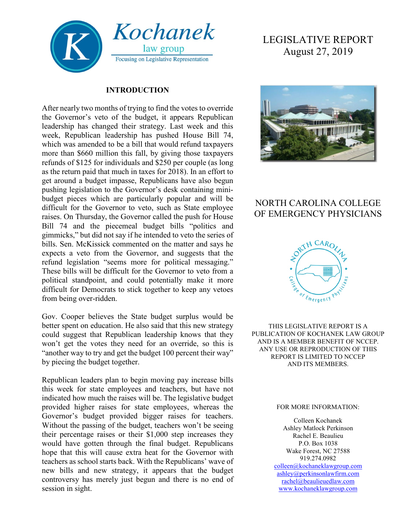

#### **INTRODUCTION**

After nearly two months of trying to find the votes to override the Governor's veto of the budget, it appears Republican leadership has changed their strategy. Last week and this week, Republican leadership has pushed House Bill 74, which was amended to be a bill that would refund taxpayers more than \$660 million this fall, by giving those taxpayers refunds of \$125 for individuals and \$250 per couple (as long as the return paid that much in taxes for 2018). In an effort to get around a budget impasse, Republicans have also begun pushing legislation to the Governor's desk containing minibudget pieces which are particularly popular and will be difficult for the Governor to veto, such as State employee raises. On Thursday, the Governor called the push for House Bill 74 and the piecemeal budget bills "politics and gimmicks," but did not say if he intended to veto the series of bills. Sen. McKissick commented on the matter and says he expects a veto from the Governor, and suggests that the refund legislation "seems more for political messaging." These bills will be difficult for the Governor to veto from a political standpoint, and could potentially make it more difficult for Democrats to stick together to keep any vetoes from being over-ridden.

Gov. Cooper believes the State budget surplus would be better spent on education. He also said that this new strategy could suggest that Republican leadership knows that they won't get the votes they need for an override, so this is "another way to try and get the budget 100 percent their way" by piecing the budget together.

Republican leaders plan to begin moving pay increase bills this week for state employees and teachers, but have not indicated how much the raises will be. The legislative budget provided higher raises for state employees, whereas the Governor's budget provided bigger raises for teachers. Without the passing of the budget, teachers won't be seeing their percentage raises or their \$1,000 step increases they would have gotten through the final budget. Republicans hope that this will cause extra heat for the Governor with teachers as school starts back. With the Republicans' wave of new bills and new strategy, it appears that the budget controversy has merely just begun and there is no end of session in sight.

# LEGISLATIVE REPORT August 27, 2019



## NORTH CAROLINA COLLEGE OF EMERGENCY PHYSICIANS



THIS LEGISLATIVE REPORT IS A PUBLICATION OF KOCHANEK LAW GROUP AND IS A MEMBER BENEFIT OF NCCEP. ANY USE OR REPRODUCTION OF THIS REPORT IS LIMITED TO NCCEP AND ITS MEMBERS.

#### FOR MORE INFORMATION:

Colleen Kochanek Ashley Matlock Perkinson Rachel E. Beaulieu P.O. Box 1038 Wake Forest, NC 27588 919.274.0982 [colleen@kochaneklawgroup.com](mailto:colleen@kochaneklawgroup.com) [ashley@perkinsonlawfirm.com](mailto:ashley@perkinsonlawfirm.com) [rachel@beaulieuedlaw.com](mailto:rachel@beaulieuedlaw.com) [www.kochaneklawgroup.com](http://www.kochaneklawgroup.com/)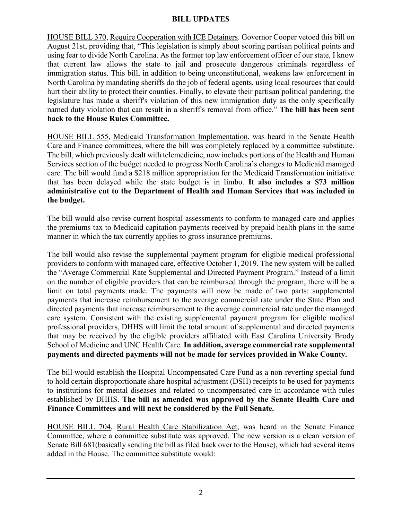#### **BILL UPDATES**

HOUSE BILL 370, Require Cooperation with ICE Detainers. Governor Cooper vetoed this bill on August 21st, providing that, "This legislation is simply about scoring partisan political points and using fear to divide North Carolina. As the former top law enforcement officer of our state, I know that current law allows the state to jail and prosecute dangerous criminals regardless of immigration status. This bill, in addition to being unconstitutional, weakens law enforcement in North Carolina by mandating sheriffs do the job of federal agents, using local resources that could hurt their ability to protect their counties. Finally, to elevate their partisan political pandering, the legislature has made a sheriff's violation of this new immigration duty as the only specifically named duty violation that can result in a sheriff's removal from office." **The bill has been sent back to the House Rules Committee.**

HOUSE BILL 555, Medicaid Transformation Implementation, was heard in the Senate Health Care and Finance committees, where the bill was completely replaced by a committee substitute. The bill, which previously dealt with telemedicine, now includes portions of the Health and Human Services section of the budget needed to progress North Carolina's changes to Medicaid managed care. The bill would fund a \$218 million appropriation for the Medicaid Transformation initiative that has been delayed while the state budget is in limbo. **It also includes a \$73 million administrative cut to the Department of Health and Human Services that was included in the budget.** 

The bill would also revise current hospital assessments to conform to managed care and applies the premiums tax to Medicaid capitation payments received by prepaid health plans in the same manner in which the tax currently applies to gross insurance premiums.

The bill would also revise the supplemental payment program for eligible medical professional providers to conform with managed care, effective October 1, 2019. The new system will be called the "Average Commercial Rate Supplemental and Directed Payment Program." Instead of a limit on the number of eligible providers that can be reimbursed through the program, there will be a limit on total payments made. The payments will now be made of two parts: supplemental payments that increase reimbursement to the average commercial rate under the State Plan and directed payments that increase reimbursement to the average commercial rate under the managed care system. Consistent with the existing supplemental payment program for eligible medical professional providers, DHHS will limit the total amount of supplemental and directed payments that may be received by the eligible providers affiliated with East Carolina University Brody School of Medicine and UNC Health Care. **In addition, average commercial rate supplemental payments and directed payments will not be made for services provided in Wake County.**

The bill would establish the Hospital Uncompensated Care Fund as a non-reverting special fund to hold certain disproportionate share hospital adjustment (DSH) receipts to be used for payments to institutions for mental diseases and related to uncompensated care in accordance with rules established by DHHS. **The bill as amended was approved by the Senate Health Care and Finance Committees and will next be considered by the Full Senate.**

HOUSE BILL 704, Rural Health Care Stabilization Act, was heard in the Senate Finance Committee, where a committee substitute was approved. The new version is a clean version of Senate Bill 681(basically sending the bill as filed back over to the House), which had several items added in the House. The committee substitute would: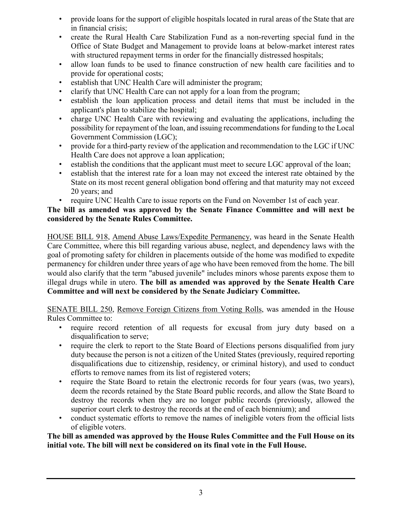- provide loans for the support of eligible hospitals located in rural areas of the State that are in financial crisis;
- create the Rural Health Care Stabilization Fund as a non-reverting special fund in the Office of State Budget and Management to provide loans at below-market interest rates with structured repayment terms in order for the financially distressed hospitals;
- allow loan funds to be used to finance construction of new health care facilities and to provide for operational costs;
- establish that UNC Health Care will administer the program;
- clarify that UNC Health Care can not apply for a loan from the program;
- establish the loan application process and detail items that must be included in the applicant's plan to stabilize the hospital;
- charge UNC Health Care with reviewing and evaluating the applications, including the possibility for repayment of the loan, and issuing recommendations for funding to the Local Government Commission (LGC);
- provide for a third-party review of the application and recommendation to the LGC if UNC Health Care does not approve a loan application;
- establish the conditions that the applicant must meet to secure LGC approval of the loan;
- establish that the interest rate for a loan may not exceed the interest rate obtained by the State on its most recent general obligation bond offering and that maturity may not exceed 20 years; and
- require UNC Health Care to issue reports on the Fund on November 1st of each year.

### **The bill as amended was approved by the Senate Finance Committee and will next be considered by the Senate Rules Committee.**

HOUSE BILL 918, Amend Abuse Laws/Expedite Permanency, was heard in the Senate Health Care Committee, where this bill regarding various abuse, neglect, and dependency laws with the goal of promoting safety for children in placements outside of the home was modified to expedite permanency for children under three years of age who have been removed from the home. The bill would also clarify that the term "abused juvenile" includes minors whose parents expose them to illegal drugs while in utero. **The bill as amended was approved by the Senate Health Care Committee and will next be considered by the Senate Judiciary Committee.**

SENATE BILL 250, Remove Foreign Citizens from Voting Rolls, was amended in the House Rules Committee to:

- require record retention of all requests for excusal from jury duty based on a disqualification to serve;
- require the clerk to report to the State Board of Elections persons disqualified from jury duty because the person is not a citizen of the United States (previously, required reporting disqualifications due to citizenship, residency, or criminal history), and used to conduct efforts to remove names from its list of registered voters;
- require the State Board to retain the electronic records for four years (was, two years), deem the records retained by the State Board public records, and allow the State Board to destroy the records when they are no longer public records (previously, allowed the superior court clerk to destroy the records at the end of each biennium); and
- conduct systematic efforts to remove the names of ineligible voters from the official lists of eligible voters.

#### **The bill as amended was approved by the House Rules Committee and the Full House on its initial vote. The bill will next be considered on its final vote in the Full House.**